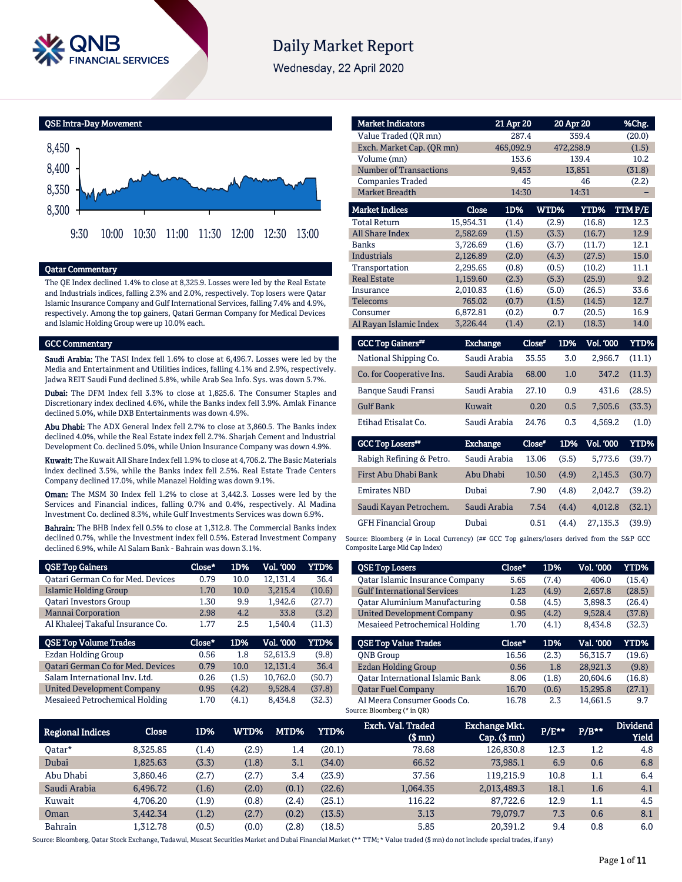

# **Daily Market Report**

Wednesday, 22 April 2020

QSE Intra-Day Movement



### Qatar Commentary

The QE Index declined 1.4% to close at 8,325.9. Losses were led by the Real Estate and Industrials indices, falling 2.3% and 2.0%, respectively. Top losers were Qatar Islamic Insurance Company and Gulf International Services, falling 7.4% and 4.9%, respectively. Among the top gainers, Qatari German Company for Medical Devices and Islamic Holding Group were up 10.0% each.

#### GCC Commentary

Saudi Arabia: The TASI Index fell 1.6% to close at 6,496.7. Losses were led by the Media and Entertainment and Utilities indices, falling 4.1% and 2.9%, respectively. Jadwa REIT Saudi Fund declined 5.8%, while Arab Sea Info. Sys. was down 5.7%.

Dubai: The DFM Index fell 3.3% to close at 1,825.6. The Consumer Staples and Discretionary index declined 4.6%, while the Banks index fell 3.9%. Amlak Finance declined 5.0%, while DXB Entertainments was down 4.9%.

Abu Dhabi: The ADX General Index fell 2.7% to close at 3,860.5. The Banks index declined 4.0%, while the Real Estate index fell 2.7%. Sharjah Cement and Industrial Development Co. declined 5.0%, while Union Insurance Company was down 4.9%.

Kuwait: The Kuwait All Share Index fell 1.9% to close at 4,706.2. The Basic Materials index declined 3.5%, while the Banks index fell 2.5%. Real Estate Trade Centers Company declined 17.0%, while Manazel Holding was down 9.1%.

Oman: The MSM 30 Index fell 1.2% to close at 3,442.3. Losses were led by the Services and Financial indices, falling 0.7% and 0.4%, respectively. Al Madina Investment Co. declined 8.3%, while Gulf Investments Services was down 6.9%.

Bahrain: The BHB Index fell 0.5% to close at 1,312.8. The Commercial Banks index declined 0.7%, while the Investment index fell 0.5%. Esterad Investment Company declined 6.9%, while Al Salam Bank - Bahrain was down 3.1%.

| <b>QSE Top Gainers</b>                   | Close* | 1D%   | Vol. '000 | <b>YTD%</b> |
|------------------------------------------|--------|-------|-----------|-------------|
| <b>Qatari German Co for Med. Devices</b> | 0.79   | 10.0  | 12,131.4  | 36.4        |
| Islamic Holding Group                    | 1.70   | 10.0  | 3.215.4   | (10.6)      |
| <b>Oatari Investors Group</b>            | 1.30   | 9.9   | 1,942.6   | (27.7)      |
| <b>Mannai Corporation</b>                | 2.98   | 4.2.  | 33.8      | (3.2)       |
| Al Khaleej Takaful Insurance Co.         | 1.77   | 2.5   | 1.540.4   | (11.3)      |
|                                          |        |       |           |             |
| <b>QSE Top Volume Trades</b>             | Close* | 1D%   | Vol. '000 | YTD%        |
| Ezdan Holding Group                      | 0.56   | 1.8   | 52.613.9  | (9.8)       |
| <b>Qatari German Co for Med. Devices</b> | 0.79   | 10.0  | 12,131.4  | 36.4        |
| Salam International Inv. Ltd.            | 0.26   | (1.5) | 10,762.0  | (50.7)      |
| <b>United Development Company</b>        | 0.95   | (4.2) | 9.528.4   | (37.8)      |

| <b>Market Indicators</b>      |              | 21 Apr 20 |        | 20 Apr 20 |                  | %Chg.   |
|-------------------------------|--------------|-----------|--------|-----------|------------------|---------|
| Value Traded (OR mn)          |              | 287.4     |        | 359.4     |                  | (20.0)  |
| Exch. Market Cap. (QR mn)     |              | 465,092.9 |        | 472,258.9 |                  | (1.5)   |
| Volume (mn)                   |              | 153.6     |        | 139.4     |                  | 10.2    |
| <b>Number of Transactions</b> |              | 9,453     |        | 13,851    |                  | (31.8)  |
| <b>Companies Traded</b>       |              | 45        |        |           | 46               | (2.2)   |
| Market Breadth                |              | 14:30     |        | 14:31     |                  |         |
| <b>Market Indices</b>         | <b>Close</b> | 1D%       | WTD%   |           | YTD%             | TTM P/E |
| <b>Total Return</b>           | 15,954.31    | (1.4)     | (2.9)  |           | (16.8)           | 12.3    |
| <b>All Share Index</b>        | 2,582.69     | (1.5)     | (3.3)  |           | (16.7)           | 12.9    |
| <b>Banks</b>                  | 3,726.69     | (1.6)     | (3.7)  |           | (11.7)           | 12.1    |
| <b>Industrials</b>            | 2,126.89     | (2.0)     | (4.3)  |           | (27.5)           | 15.0    |
| Transportation                | 2,295.65     | (0.8)     | (0.5)  |           | (10.2)           | 11.1    |
| <b>Real Estate</b>            | 1,159.60     | (2.3)     | (5.3)  |           | (25.9)           | 9.2     |
| Insurance                     | 2,010.83     | (1.6)     | (5.0)  |           | (26.5)           | 33.6    |
| Telecoms                      | 765.02       | (0.7)     | (1.5)  |           | (14.5)           | 12.7    |
| Consumer                      | 6,872.81     | (0.2)     | 0.7    |           | (20.5)           | 16.9    |
| Al Rayan Islamic Index        | 3,226.44     | (1.4)     | (2.1)  |           | (18.3)           | 14.0    |
| <b>GCC Top Gainers**</b>      | Exchange     |           | Close" | 1D%       | <b>Vol. '000</b> | YTD%    |
| National Shipping Co.         | Saudi Arabia |           | 35.55  | 3.0       | 2,966.7          | (11.1)  |
| Co. for Cooperative Ins.      | Saudi Arabia |           | 68.00  | 1.0       | 347.2            | (11.3)  |

|                            | Duvu                     |      | $1.00$ $1.01$ |                           |  |
|----------------------------|--------------------------|------|---------------|---------------------------|--|
| Saudi Kayan Petrochem.     | Saudi Arabia 17.54 (4.4) |      |               | 4.012.8 (32.1)            |  |
| <b>GFH Financial Group</b> | Dubai                    | 0.51 |               | $(4.4)$ 27.135.3 $(39.9)$ |  |

Banque Saudi Fransi Saudi Arabia 27.10 0.9 431.6 (28.5) Gulf Bank Kuwait 0.20 0.5 7,505.6 (33.3) Etihad Etisalat Co. Saudi Arabia 24.76 0.3 4,569.2 (1.0)

Exchange Close#

Rabigh Refining & Petro. Saudi Arabia 13.06 (5.5) 5,773.6 (39.7) First Abu Dhabi Bank Abu Dhabi 10.50 (4.9) 2,145.3 (30.7) Emirates NBD Dubai 7.90 (4.8) 2,042.7 (39.2)

Source: Bloomberg (# in Local Currency) (## GCC Top gainers/losers derived from the S&P GCC Composite Large Mid Cap Index)

| <b>QSE Top Losers</b>                | Close*   | 1D%   | <b>Vol. '000</b> | <b>YTD%</b> |
|--------------------------------------|----------|-------|------------------|-------------|
| Oatar Islamic Insurance Company      | 5.65     | (7.4) | 406.0            | (15.4)      |
| <b>Gulf International Services</b>   | 1.23     | (4.9) | 2.657.8          | (28.5)      |
| <b>Qatar Aluminium Manufacturing</b> | 0.58     | (4.5) | 3,898.3          | (26.4)      |
| <b>United Development Company</b>    | 0.95     | (4.2) | 9.528.4          | (37.8)      |
| Mesaieed Petrochemical Holding       | 1.70     | (4.1) | 8.434.8          | (32.3)      |
|                                      |          |       |                  |             |
| <b>OSE Top Value Trades</b>          | $Close*$ | 1D%   | Val. '000        | <b>YTD%</b> |
| <b>ONB</b> Group                     | 16.56    | (2.3) | 56.315.7         | (19.6)      |
| Ezdan Holding Group                  | 0.56     | 1.8   | 28,921.3         | (9.8)       |
| Oatar International Islamic Bank     | 8.06     | (1.8) | 20.604.6         | (16.8)      |
| <b>Oatar Fuel Company</b>            | 16.70    | (0.6) | 15,295.8         | (27.1)      |

| <b>Regional Indices</b> | <b>Close</b> | 1D%   | WTD%  | MTD%  | YTD%   | Exch. Val. Traded<br>$$$ mn $)$ | Exchange Mkt.<br>$Cap.$ $(\$$ mn) | P/E** | $P/B***$ | <b>Dividend</b><br><b>Yield</b> |
|-------------------------|--------------|-------|-------|-------|--------|---------------------------------|-----------------------------------|-------|----------|---------------------------------|
| Oatar*                  | 8,325.85     | (1.4) | (2.9) | 1.4   | (20.1) | 78.68                           | 126,830.8                         | 12.3  | 1.2      | 4.8                             |
| Dubai                   | 1,825.63     | (3.3) | (1.8) | 3.1   | (34.0) | 66.52                           | 73,985.1                          | 6.9   | 0.6      | 6.8                             |
| Abu Dhabi               | 3.860.46     | (2.7) | (2.7) | 3.4   | (23.9) | 37.56                           | 119.215.9                         | 10.8  | 1.1      | 6.4                             |
| Saudi Arabia            | 6,496.72     | (1.6) | (2.0) | (0.1) | (22.6) | 1,064.35                        | 2,013,489.3                       | 18.1  | 1.6      | 4.1                             |
| Kuwait                  | 4.706.20     | (1.9) | (0.8) | (2.4) | (25.1) | 116.22                          | 87,722.6                          | 12.9  | 1.1      | 4.5                             |
| Oman                    | 3.442.34     | (1.2) | (2.7) | (0.2) | (13.5) | 3.13                            | 79.079.7                          | 7.3   | 0.6      | 8.1                             |
| <b>Bahrain</b>          | 1.312.78     | (0.5) | (0.0) | (2.8) | (18.5) | 5.85                            | 20.391.2                          | 9.4   | 0.8      | 6.0                             |

GCC Top Losers\*\*\*

Source: Bloomberg, Qatar Stock Exchange, Tadawul, Muscat Securities Market and Dubai Financial Market (\*\* TTM; \* Value traded (\$ mn) do not include special trades, if any)

1D% Vol. '000 YTD%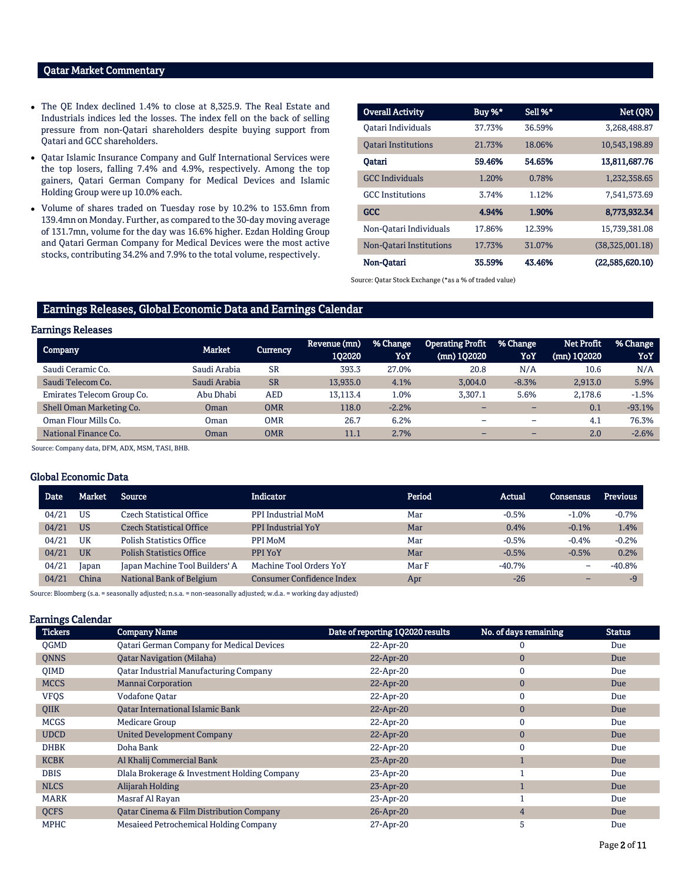## Qatar Market Commentary

- The QE Index declined 1.4% to close at 8,325.9. The Real Estate and Industrials indices led the losses. The index fell on the back of selling pressure from non-Qatari shareholders despite buying support from Qatari and GCC shareholders.
- Qatar Islamic Insurance Company and Gulf International Services were the top losers, falling 7.4% and 4.9%, respectively. Among the top gainers, Qatari German Company for Medical Devices and Islamic Holding Group were up 10.0% each.
- Volume of shares traded on Tuesday rose by 10.2% to 153.6mn from 139.4mn on Monday. Further, as compared to the 30-day moving average of 131.7mn, volume for the day was 16.6% higher. Ezdan Holding Group and Qatari German Company for Medical Devices were the most active stocks, contributing 34.2% and 7.9% to the total volume, respectively.

| <b>Overall Activity</b>    | Buy %* | Sell %* | Net (QR)        |
|----------------------------|--------|---------|-----------------|
| Oatari Individuals         | 37.73% | 36.59%  | 3,268,488.87    |
| <b>Oatari Institutions</b> | 21.73% | 18.06%  | 10.543.198.89   |
| Oatari                     | 59.46% | 54.65%  | 13,811,687.76   |
| <b>GCC</b> Individuals     | 1.20%  | 0.78%   | 1,232,358.65    |
| <b>GCC</b> Institutions    | 3.74%  | 1.12%   | 7,541,573.69    |
| <b>GCC</b>                 | 4.94%  | 1.90%   | 8.773.932.34    |
| Non-Qatari Individuals     | 17.86% | 12.39%  | 15,739,381.08   |
| Non-Oatari Institutions    | 17.73% | 31.07%  | (38,325,001.18) |
| Non-Qatari                 | 35.59% | 43.46%  | (22,585,620.10) |

Source: Qatar Stock Exchange (\*as a % of traded value)

# Earnings Releases, Global Economic Data and Earnings Calendar

#### Earnings Releases

| Company                    | Market       | Currency   | 'Revenue (mn) ,<br>102020 | % Change<br>YoY | <b>Operating Profit</b><br>$(mn)$ 102020 | % Change<br>YoY          | <b>Net Profit</b><br>(mn) 102020 | % Change<br>YoY |
|----------------------------|--------------|------------|---------------------------|-----------------|------------------------------------------|--------------------------|----------------------------------|-----------------|
| Saudi Ceramic Co.          | Saudi Arabia | <b>SR</b>  | 393.3                     | 27.0%           | 20.8                                     | N/A                      | 10.6                             | N/A             |
| Saudi Telecom Co.          | Saudi Arabia | <b>SR</b>  | 13.935.0                  | 4.1%            | 3.004.0                                  | $-8.3%$                  | 2,913.0                          | 5.9%            |
| Emirates Telecom Group Co. | Abu Dhabi    | AED        | 13.113.4                  | 1.0%            | 3.307.1                                  | 5.6%                     | 2.178.6                          | $-1.5%$         |
| Shell Oman Marketing Co.   | Oman         | <b>OMR</b> | 118.0                     | $-2.2%$         |                                          |                          | 0.1                              | $-93.1%$        |
| Oman Flour Mills Co.       | Oman         | <b>OMR</b> | 26.7                      | 6.2%            |                                          | -                        | 4.1                              | 76.3%           |
| National Finance Co.       | Oman         | <b>OMR</b> | 11.1                      | 2.7%            |                                          | $\overline{\phantom{0}}$ | 2.0                              | $-2.6%$         |

Source: Company data, DFM, ADX, MSM, TASI, BHB.

### Global Economic Data

| <b>Date</b> | Market    | <b>Source</b>                   | <b>Indicator</b>                 | Period | Actual   | <b>Consensus</b> | <b>Previous</b> |
|-------------|-----------|---------------------------------|----------------------------------|--------|----------|------------------|-----------------|
| 04/21       | US        | Czech Statistical Office        | PPI Industrial MoM               | Mar    | $-0.5%$  | $-1.0%$          | $-0.7%$         |
| 04/21       | <b>US</b> | Czech Statistical Office        | <b>PPI Industrial YoY</b>        | Mar    | 0.4%     | $-0.1%$          | 1.4%            |
| 04/21       | UK        | <b>Polish Statistics Office</b> | PPI MoM                          | Mar    | $-0.5%$  | $-0.4%$          | $-0.2%$         |
| 04/21       | UK        | <b>Polish Statistics Office</b> | PPI YoY                          | Mar    | $-0.5%$  | $-0.5%$          | 0.2%            |
| 04/21       | Japan     | Japan Machine Tool Builders' A  | Machine Tool Orders YoY          | Mar F  | $-40.7%$ | -                | $-40.8%$        |
| 04/21       | China     | National Bank of Belgium        | <b>Consumer Confidence Index</b> | Apr    | $-26$    | $-$              | $-9$            |

Source: Bloomberg (s.a. = seasonally adjusted; n.s.a. = non-seasonally adjusted; w.d.a. = working day adjusted)

### Earnings Calendar

| <b>Tickers</b> | <b>Company Name</b>                                 | Date of reporting 1Q2020 results | No. of days remaining | <b>Status</b> |
|----------------|-----------------------------------------------------|----------------------------------|-----------------------|---------------|
| <b>OGMD</b>    | <b>Qatari German Company for Medical Devices</b>    | 22-Apr-20                        |                       | Due           |
| <b>QNNS</b>    | <b>Oatar Navigation (Milaha)</b>                    | 22-Apr-20                        | $\bf{0}$              | Due           |
| <b>OIMD</b>    | <b>Qatar Industrial Manufacturing Company</b>       | 22-Apr-20                        | $\mathbf{0}$          | Due           |
| <b>MCCS</b>    | <b>Mannai Corporation</b>                           | 22-Apr-20                        | $\mathbf{0}$          | Due           |
| <b>VFQS</b>    | <b>Vodafone Oatar</b>                               | 22-Apr-20                        | $\mathbf{0}$          | Due           |
| QIIK           | <b>Oatar International Islamic Bank</b>             | 22-Apr-20                        | $\mathbf{0}$          | Due           |
| <b>MCGS</b>    | Medicare Group                                      | 22-Apr-20                        | $\mathbf{0}$          | Due           |
| <b>UDCD</b>    | <b>United Development Company</b>                   | 22-Apr-20                        | $\mathbf{0}$          | Due           |
| <b>DHBK</b>    | Doha Bank                                           | 22-Apr-20                        | $\mathbf{0}$          | Due           |
| <b>KCBK</b>    | Al Khalij Commercial Bank                           | 23-Apr-20                        |                       | Due           |
| <b>DBIS</b>    | Dlala Brokerage & Investment Holding Company        | 23-Apr-20                        |                       | Due           |
| <b>NLCS</b>    | Alijarah Holding                                    | 23-Apr-20                        |                       | Due           |
| <b>MARK</b>    | Masraf Al Rayan                                     | 23-Apr-20                        |                       | Due           |
| <b>QCFS</b>    | <b>Qatar Cinema &amp; Film Distribution Company</b> | 26-Apr-20                        | $\overline{4}$        | Due           |
| <b>MPHC</b>    | Mesaieed Petrochemical Holding Company              | 27-Apr-20                        | 5                     | Due           |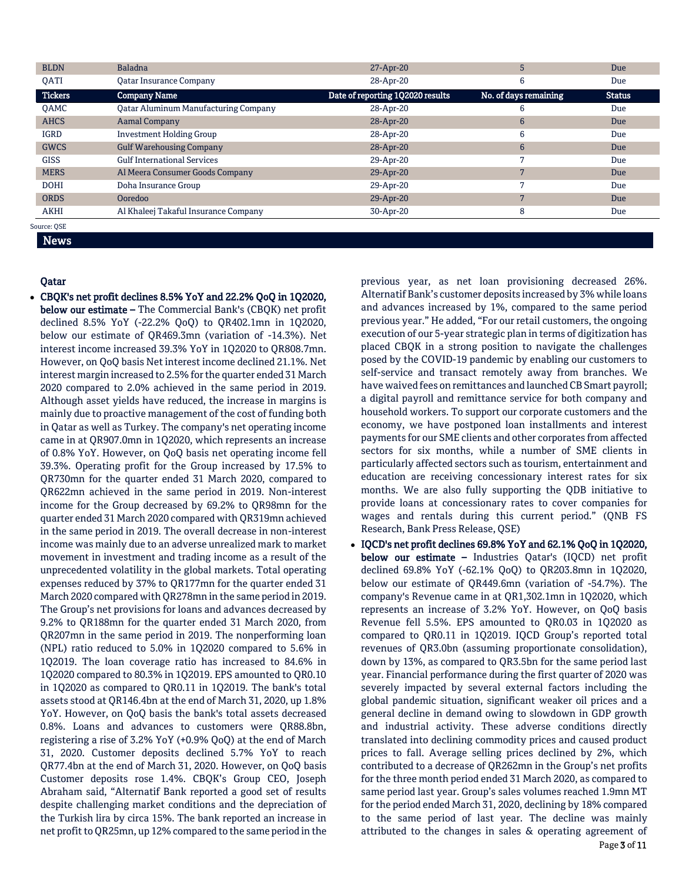| <b>BLDN</b>    | <b>Baladna</b>                              | 27-Apr-20                        | 5                     | Due           |
|----------------|---------------------------------------------|----------------------------------|-----------------------|---------------|
| <b>OATI</b>    | <b>Oatar Insurance Company</b>              | 28-Apr-20                        | 6                     | Due           |
| <b>Tickers</b> | <b>Company Name</b>                         | Date of reporting 1Q2020 results | No. of days remaining | <b>Status</b> |
| <b>OAMC</b>    | <b>Oatar Aluminum Manufacturing Company</b> | 28-Apr-20                        | 6                     | Due           |
| <b>AHCS</b>    | <b>Aamal Company</b>                        | 28-Apr-20                        | 6                     | Due           |
| <b>IGRD</b>    | <b>Investment Holding Group</b>             | 28-Apr-20                        | 6                     | Due           |
| <b>GWCS</b>    | <b>Gulf Warehousing Company</b>             | 28-Apr-20                        | 6                     | Due           |
| <b>GISS</b>    | <b>Gulf International Services</b>          | 29-Apr-20                        |                       | Due           |
| <b>MERS</b>    | Al Meera Consumer Goods Company             | 29-Apr-20                        | $\overline{ }$        | Due           |
| <b>DOHI</b>    | Doha Insurance Group                        | 29-Apr-20                        |                       | Due           |
| <b>ORDS</b>    | Ooredoo                                     | 29-Apr-20                        |                       | Due           |
| <b>AKHI</b>    | Al Khaleej Takaful Insurance Company        | 30-Apr-20                        | 8                     | Due           |
| Source: OSE    |                                             |                                  |                       |               |

News

# Qatar

 CBQK's net profit declines 8.5% YoY and 22.2% QoQ in 1Q2020, below our estimate – The Commercial Bank's (CBQK) net profit declined 8.5% YoY (-22.2% QoQ) to QR402.1mn in 1Q2020, below our estimate of QR469.3mn (variation of -14.3%). Net interest income increased 39.3% YoY in 1Q2020 to QR808.7mn. However, on QoQ basis Net interest income declined 21.1%. Net interest margin increased to 2.5% for the quarter ended 31 March 2020 compared to 2.0% achieved in the same period in 2019. Although asset yields have reduced, the increase in margins is mainly due to proactive management of the cost of funding both in Qatar as well as Turkey. The company's net operating income came in at QR907.0mn in 1Q2020, which represents an increase of 0.8% YoY. However, on QoQ basis net operating income fell 39.3%. Operating profit for the Group increased by 17.5% to QR730mn for the quarter ended 31 March 2020, compared to QR622mn achieved in the same period in 2019. Non-interest income for the Group decreased by 69.2% to QR98mn for the quarter ended 31 March 2020 compared with QR319mn achieved in the same period in 2019. The overall decrease in non-interest income was mainly due to an adverse unrealized mark to market movement in investment and trading income as a result of the unprecedented volatility in the global markets. Total operating expenses reduced by 37% to QR177mn for the quarter ended 31 March 2020 compared with QR278mn in the same period in 2019. The Group's net provisions for loans and advances decreased by 9.2% to QR188mn for the quarter ended 31 March 2020, from QR207mn in the same period in 2019. The nonperforming loan (NPL) ratio reduced to 5.0% in 1Q2020 compared to 5.6% in 1Q2019. The loan coverage ratio has increased to 84.6% in 1Q2020 compared to 80.3% in 1Q2019. EPS amounted to QR0.10 in 1Q2020 as compared to QR0.11 in 1Q2019. The bank's total assets stood at QR146.4bn at the end of March 31, 2020, up 1.8% YoY. However, on QoQ basis the bank's total assets decreased 0.8%. Loans and advances to customers were QR88.8bn, registering a rise of 3.2% YoY (+0.9% QoQ) at the end of March 31, 2020. Customer deposits declined 5.7% YoY to reach QR77.4bn at the end of March 31, 2020. However, on QoQ basis Customer deposits rose 1.4%. CBQK's Group CEO, Joseph Abraham said, "Alternatif Bank reported a good set of results despite challenging market conditions and the depreciation of the Turkish lira by circa 15%. The bank reported an increase in net profit to QR25mn, up 12% compared to the same period in the

previous year, as net loan provisioning decreased 26%. Alternatif Bank's customer deposits increased by 3% while loans and advances increased by 1%, compared to the same period previous year." He added, "For our retail customers, the ongoing execution of our 5-year strategic plan in terms of digitization has placed CBQK in a strong position to navigate the challenges posed by the COVID-19 pandemic by enabling our customers to self-service and transact remotely away from branches. We have waived fees on remittances and launched CB Smart payroll; a digital payroll and remittance service for both company and household workers. To support our corporate customers and the economy, we have postponed loan installments and interest payments for our SME clients and other corporates from affected sectors for six months, while a number of SME clients in particularly affected sectors such as tourism, entertainment and education are receiving concessionary interest rates for six months. We are also fully supporting the QDB initiative to provide loans at concessionary rates to cover companies for wages and rentals during this current period." (QNB FS Research, Bank Press Release, QSE)

 IQCD's net profit declines 69.8% YoY and 62.1% QoQ in 1Q2020, below our estimate – Industries Qatar's (IQCD) net profit declined 69.8% YoY (-62.1% QoQ) to QR203.8mn in 1Q2020, below our estimate of QR449.6mn (variation of -54.7%). The company's Revenue came in at QR1,302.1mn in 1Q2020, which represents an increase of 3.2% YoY. However, on QoQ basis Revenue fell 5.5%. EPS amounted to QR0.03 in 1Q2020 as compared to QR0.11 in 1Q2019. IQCD Group's reported total revenues of QR3.0bn (assuming proportionate consolidation), down by 13%, as compared to QR3.5bn for the same period last year. Financial performance during the first quarter of 2020 was severely impacted by several external factors including the global pandemic situation, significant weaker oil prices and a general decline in demand owing to slowdown in GDP growth and industrial activity. These adverse conditions directly translated into declining commodity prices and caused product prices to fall. Average selling prices declined by 2%, which contributed to a decrease of QR262mn in the Group's net profits for the three month period ended 31 March 2020, as compared to same period last year. Group's sales volumes reached 1.9mn MT for the period ended March 31, 2020, declining by 18% compared to the same period of last year. The decline was mainly attributed to the changes in sales & operating agreement of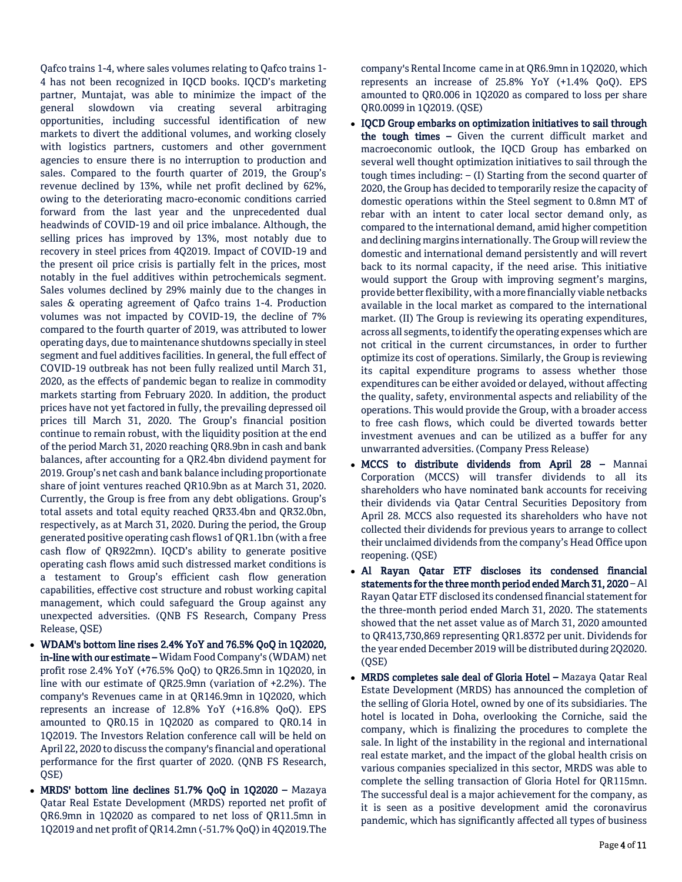Qafco trains 1-4, where sales volumes relating to Qafco trains 1- 4 has not been recognized in IQCD books. IQCD's marketing partner, Muntajat, was able to minimize the impact of the general slowdown via creating several arbitraging opportunities, including successful identification of new markets to divert the additional volumes, and working closely with logistics partners, customers and other government agencies to ensure there is no interruption to production and sales. Compared to the fourth quarter of 2019, the Group's revenue declined by 13%, while net profit declined by 62%, owing to the deteriorating macro-economic conditions carried forward from the last year and the unprecedented dual headwinds of COVID-19 and oil price imbalance. Although, the selling prices has improved by 13%, most notably due to recovery in steel prices from 4Q2019. Impact of COVID-19 and the present oil price crisis is partially felt in the prices, most notably in the fuel additives within petrochemicals segment. Sales volumes declined by 29% mainly due to the changes in sales & operating agreement of Qafco trains 1-4. Production volumes was not impacted by COVID-19, the decline of 7% compared to the fourth quarter of 2019, was attributed to lower operating days, due to maintenance shutdowns specially in steel segment and fuel additives facilities. In general, the full effect of COVID-19 outbreak has not been fully realized until March 31, 2020, as the effects of pandemic began to realize in commodity markets starting from February 2020. In addition, the product prices have not yet factored in fully, the prevailing depressed oil prices till March 31, 2020. The Group's financial position continue to remain robust, with the liquidity position at the end of the period March 31, 2020 reaching QR8.9bn in cash and bank balances, after accounting for a QR2.4bn dividend payment for 2019. Group's net cash and bank balance including proportionate share of joint ventures reached QR10.9bn as at March 31, 2020. Currently, the Group is free from any debt obligations. Group's total assets and total equity reached QR33.4bn and QR32.0bn, respectively, as at March 31, 2020. During the period, the Group generated positive operating cash flows1 of QR1.1bn (with a free cash flow of QR922mn). IQCD's ability to generate positive operating cash flows amid such distressed market conditions is a testament to Group's efficient cash flow generation capabilities, effective cost structure and robust working capital management, which could safeguard the Group against any unexpected adversities. (QNB FS Research, Company Press Release, QSE)

- WDAM's bottom line rises 2.4% YoY and 76.5% QoQ in 1Q2020, in-line with our estimate – Widam Food Company's (WDAM) net profit rose 2.4% YoY (+76.5% QoQ) to QR26.5mn in 1Q2020, in line with our estimate of QR25.9mn (variation of +2.2%). The company's Revenues came in at QR146.9mn in 1Q2020, which represents an increase of 12.8% YoY (+16.8% QoQ). EPS amounted to QR0.15 in 1Q2020 as compared to QR0.14 in 1Q2019. The Investors Relation conference call will be held on April 22, 2020 to discuss the company's financial and operational performance for the first quarter of 2020. (QNB FS Research, QSE)
- MRDS' bottom line declines 51.7% QoQ in 1Q2020 Mazaya Qatar Real Estate Development (MRDS) reported net profit of QR6.9mn in 1Q2020 as compared to net loss of QR11.5mn in 1Q2019 and net profit of QR14.2mn (-51.7% QoQ) in 4Q2019.The

company's Rental Income came in at QR6.9mn in 1Q2020, which represents an increase of 25.8% YoY (+1.4% QoQ). EPS amounted to QR0.006 in 1Q2020 as compared to loss per share QR0.0099 in 1Q2019. (QSE)

- IQCD Group embarks on optimization initiatives to sail through the tough times – Given the current difficult market and macroeconomic outlook, the IQCD Group has embarked on several well thought optimization initiatives to sail through the tough times including: – (I) Starting from the second quarter of 2020, the Group has decided to temporarily resize the capacity of domestic operations within the Steel segment to 0.8mn MT of rebar with an intent to cater local sector demand only, as compared to the international demand, amid higher competition and declining margins internationally. The Group will review the domestic and international demand persistently and will revert back to its normal capacity, if the need arise. This initiative would support the Group with improving segment's margins, provide better flexibility, with a more financially viable netbacks available in the local market as compared to the international market. (II) The Group is reviewing its operating expenditures, across all segments, to identify the operating expenses which are not critical in the current circumstances, in order to further optimize its cost of operations. Similarly, the Group is reviewing its capital expenditure programs to assess whether those expenditures can be either avoided or delayed, without affecting the quality, safety, environmental aspects and reliability of the operations. This would provide the Group, with a broader access to free cash flows, which could be diverted towards better investment avenues and can be utilized as a buffer for any unwarranted adversities. (Company Press Release)
- MCCS to distribute dividends from April 28 Mannai Corporation (MCCS) will transfer dividends to all its shareholders who have nominated bank accounts for receiving their dividends via Qatar Central Securities Depository from April 28. MCCS also requested its shareholders who have not collected their dividends for previous years to arrange to collect their unclaimed dividends from the company's Head Office upon reopening. (QSE)
- Al Rayan Qatar ETF discloses its condensed financial statements for the three month period ended March 31, 2020 – Al Rayan Qatar ETF disclosed its condensed financial statement for the three-month period ended March 31, 2020. The statements showed that the net asset value as of March 31, 2020 amounted to QR413,730,869 representing QR1.8372 per unit. Dividends for the year ended December 2019 will be distributed during 2Q2020. (QSE)
- MRDS completes sale deal of Gloria Hotel Mazaya Qatar Real Estate Development (MRDS) has announced the completion of the selling of Gloria Hotel, owned by one of its subsidiaries. The hotel is located in Doha, overlooking the Corniche, said the company, which is finalizing the procedures to complete the sale. In light of the instability in the regional and international real estate market, and the impact of the global health crisis on various companies specialized in this sector, MRDS was able to complete the selling transaction of Gloria Hotel for QR115mn. The successful deal is a major achievement for the company, as it is seen as a positive development amid the coronavirus pandemic, which has significantly affected all types of business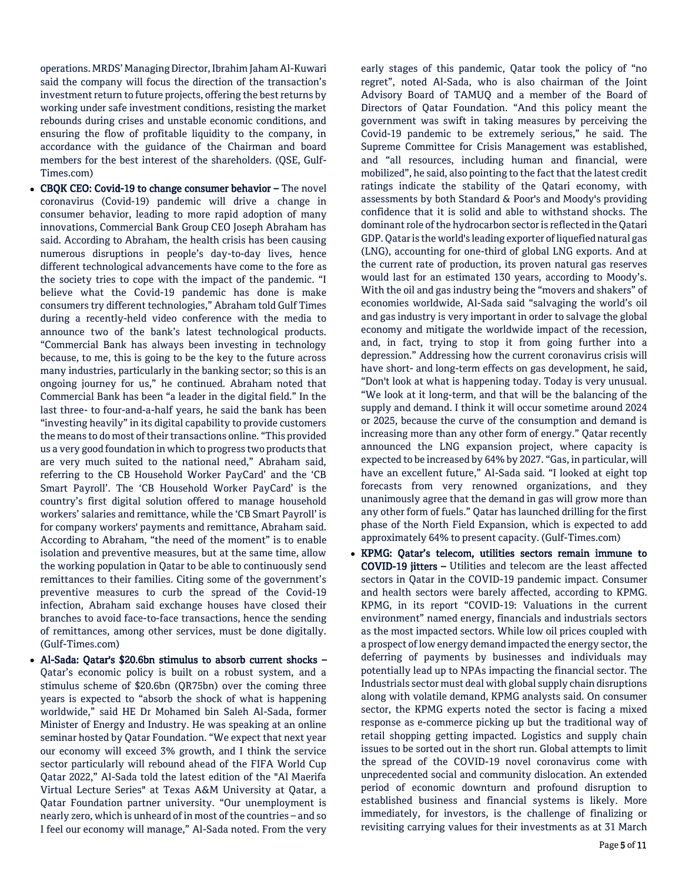operations. MRDS' Managing Director, Ibrahim Jaham Al-Kuwari said the company will focus the direction of the transaction's investment return to future projects, offering the best returns by working under safe investment conditions, resisting the market rebounds during crises and unstable economic conditions, and ensuring the flow of profitable liquidity to the company, in accordance with the guidance of the Chairman and board members for the best interest of the shareholders. (QSE, Gulf-Times.com)

- CBQK CEO: Covid-19 to change consumer behavior The novel coronavirus (Covid-19) pandemic will drive a change in consumer behavior, leading to more rapid adoption of many innovations, Commercial Bank Group CEO Joseph Abraham has said. According to Abraham, the health crisis has been causing numerous disruptions in people's day-to-day lives, hence different technological advancements have come to the fore as the society tries to cope with the impact of the pandemic. "I believe what the Covid-19 pandemic has done is make consumers try different technologies," Abraham told Gulf Times during a recently-held video conference with the media to announce two of the bank's latest technological products. "Commercial Bank has always been investing in technology because, to me, this is going to be the key to the future across many industries, particularly in the banking sector; so this is an ongoing journey for us," he continued. Abraham noted that Commercial Bank has been "a leader in the digital field." In the last three- to four-and-a-half years, he said the bank has been "investing heavily" in its digital capability to provide customers the means to do most of their transactions online. "This provided us a very good foundation in which to progress two products that are very much suited to the national need," Abraham said, referring to the CB Household Worker PayCard' and the 'CB Smart Payroll'. The 'CB Household Worker PayCard' is the country's first digital solution offered to manage household workers' salaries and remittance, while the 'CB Smart Payroll' is for company workers' payments and remittance, Abraham said. According to Abraham, "the need of the moment" is to enable isolation and preventive measures, but at the same time, allow the working population in Qatar to be able to continuously send remittances to their families. Citing some of the government's preventive measures to curb the spread of the Covid-19 infection, Abraham said exchange houses have closed their branches to avoid face-to-face transactions, hence the sending of remittances, among other services, must be done digitally. (Gulf-Times.com)
- Al-Sada: Qatar's \$20.6bn stimulus to absorb current shocks Qatar's economic policy is built on a robust system, and a stimulus scheme of \$20.6bn (QR75bn) over the coming three years is expected to "absorb the shock of what is happening worldwide," said HE Dr Mohamed bin Saleh Al-Sada, former Minister of Energy and Industry. He was speaking at an online seminar hosted by Qatar Foundation. "We expect that next year our economy will exceed 3% growth, and I think the service sector particularly will rebound ahead of the FIFA World Cup Qatar 2022," Al-Sada told the latest edition of the "Al Maerifa Virtual Lecture Series" at Texas A&M University at Qatar, a Qatar Foundation partner university. "Our unemployment is nearly zero, which is unheard of in most of the countries – and so I feel our economy will manage," Al-Sada noted. From the very

early stages of this pandemic, Qatar took the policy of "no regret", noted Al-Sada, who is also chairman of the Joint Advisory Board of TAMUQ and a member of the Board of Directors of Qatar Foundation. "And this policy meant the government was swift in taking measures by perceiving the Covid-19 pandemic to be extremely serious," he said. The Supreme Committee for Crisis Management was established, and "all resources, including human and financial, were mobilized", he said, also pointing to the fact that the latest credit ratings indicate the stability of the Qatari economy, with assessments by both Standard & Poor's and Moody's providing confidence that it is solid and able to withstand shocks. The dominant role of the hydrocarbon sector is reflected in the Qatari GDP. Qatar is the world's leading exporter of liquefied natural gas (LNG), accounting for one-third of global LNG exports. And at the current rate of production, its proven natural gas reserves would last for an estimated 130 years, according to Moody's. With the oil and gas industry being the "movers and shakers" of economies worldwide, Al-Sada said "salvaging the world's oil and gas industry is very important in order to salvage the global economy and mitigate the worldwide impact of the recession, and, in fact, trying to stop it from going further into a depression." Addressing how the current coronavirus crisis will have short- and long-term effects on gas development, he said, "Don't look at what is happening today. Today is very unusual. "We look at it long-term, and that will be the balancing of the supply and demand. I think it will occur sometime around 2024 or 2025, because the curve of the consumption and demand is increasing more than any other form of energy." Qatar recently announced the LNG expansion project, where capacity is expected to be increased by 64% by 2027. "Gas, in particular, will have an excellent future," Al-Sada said. "I looked at eight top forecasts from very renowned organizations, and they unanimously agree that the demand in gas will grow more than any other form of fuels." Qatar has launched drilling for the first phase of the North Field Expansion, which is expected to add approximately 64% to present capacity. (Gulf-Times.com)

 KPMG: Qatar's telecom, utilities sectors remain immune to COVID-19 jitters – Utilities and telecom are the least affected sectors in Qatar in the COVID-19 pandemic impact. Consumer and health sectors were barely affected, according to KPMG. KPMG, in its report "COVID-19: Valuations in the current environment" named energy, financials and industrials sectors as the most impacted sectors. While low oil prices coupled with a prospect of low energy demand impacted the energy sector, the deferring of payments by businesses and individuals may potentially lead up to NPAs impacting the financial sector. The Industrials sector must deal with global supply chain disruptions along with volatile demand, KPMG analysts said. On consumer sector, the KPMG experts noted the sector is facing a mixed response as e-commerce picking up but the traditional way of retail shopping getting impacted. Logistics and supply chain issues to be sorted out in the short run. Global attempts to limit the spread of the COVID-19 novel coronavirus come with unprecedented social and community dislocation. An extended period of economic downturn and profound disruption to established business and financial systems is likely. More immediately, for investors, is the challenge of finalizing or revisiting carrying values for their investments as at 31 March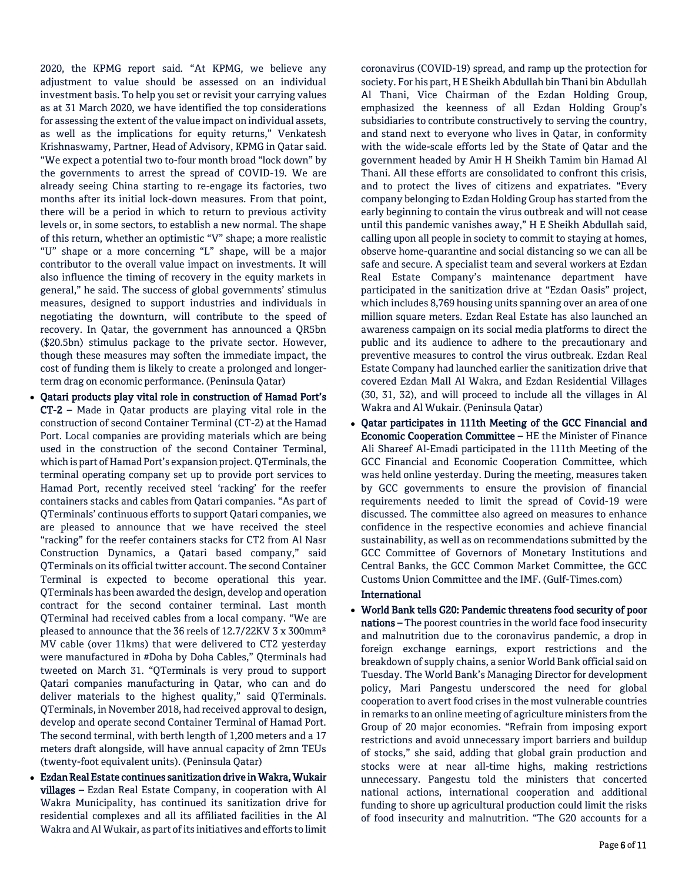2020, the KPMG report said. "At KPMG, we believe any adjustment to value should be assessed on an individual investment basis. To help you set or revisit your carrying values as at 31 March 2020, we have identified the top considerations for assessing the extent of the value impact on individual assets, as well as the implications for equity returns," Venkatesh Krishnaswamy, Partner, Head of Advisory, KPMG in Qatar said. "We expect a potential two to-four month broad "lock down" by the governments to arrest the spread of COVID-19. We are already seeing China starting to re-engage its factories, two months after its initial lock-down measures. From that point, there will be a period in which to return to previous activity levels or, in some sectors, to establish a new normal. The shape of this return, whether an optimistic "V" shape; a more realistic "U" shape or a more concerning "L" shape, will be a major contributor to the overall value impact on investments. It will also influence the timing of recovery in the equity markets in general," he said. The success of global governments' stimulus measures, designed to support industries and individuals in negotiating the downturn, will contribute to the speed of recovery. In Qatar, the government has announced a QR5bn (\$20.5bn) stimulus package to the private sector. However, though these measures may soften the immediate impact, the cost of funding them is likely to create a prolonged and longerterm drag on economic performance. (Peninsula Qatar)

- Qatari products play vital role in construction of Hamad Port's CT-2 – Made in Qatar products are playing vital role in the construction of second Container Terminal (CT-2) at the Hamad Port. Local companies are providing materials which are being used in the construction of the second Container Terminal, which is part of Hamad Port's expansion project. QTerminals, the terminal operating company set up to provide port services to Hamad Port, recently received steel 'racking' for the reefer containers stacks and cables from Qatari companies. "As part of QTerminals' continuous efforts to support Qatari companies, we are pleased to announce that we have received the steel "racking" for the reefer containers stacks for CT2 from Al Nasr Construction Dynamics, a Qatari based company," said QTerminals on its official twitter account. The second Container Terminal is expected to become operational this year. QTerminals has been awarded the design, develop and operation contract for the second container terminal. Last month QTerminal had received cables from a local company. "We are pleased to announce that the 36 reels of 12.7/22KV 3 x 300mm² MV cable (over 11kms) that were delivered to CT2 yesterday were manufactured in #Doha by Doha Cables," Qterminals had tweeted on March 31. "QTerminals is very proud to support Qatari companies manufacturing in Qatar, who can and do deliver materials to the highest quality," said QTerminals. QTerminals, in November 2018, had received approval to design, develop and operate second Container Terminal of Hamad Port. The second terminal, with berth length of 1,200 meters and a 17 meters draft alongside, will have annual capacity of 2mn TEUs (twenty-foot equivalent units). (Peninsula Qatar)
- Ezdan Real Estate continues sanitization drive in Wakra, Wukair villages – Ezdan Real Estate Company, in cooperation with Al Wakra Municipality, has continued its sanitization drive for residential complexes and all its affiliated facilities in the Al Wakra and Al Wukair, as part of its initiatives and efforts to limit

coronavirus (COVID-19) spread, and ramp up the protection for society. For his part, H E Sheikh Abdullah bin Thani bin Abdullah Al Thani, Vice Chairman of the Ezdan Holding Group, emphasized the keenness of all Ezdan Holding Group's subsidiaries to contribute constructively to serving the country, and stand next to everyone who lives in Qatar, in conformity with the wide-scale efforts led by the State of Qatar and the government headed by Amir H H Sheikh Tamim bin Hamad Al Thani. All these efforts are consolidated to confront this crisis, and to protect the lives of citizens and expatriates. "Every company belonging to Ezdan Holding Group has started from the early beginning to contain the virus outbreak and will not cease until this pandemic vanishes away," H E Sheikh Abdullah said, calling upon all people in society to commit to staying at homes, observe home-quarantine and social distancing so we can all be safe and secure. A specialist team and several workers at Ezdan Real Estate Company's maintenance department have participated in the sanitization drive at "Ezdan Oasis" project, which includes 8,769 housing units spanning over an area of one million square meters. Ezdan Real Estate has also launched an awareness campaign on its social media platforms to direct the public and its audience to adhere to the precautionary and preventive measures to control the virus outbreak. Ezdan Real Estate Company had launched earlier the sanitization drive that covered Ezdan Mall Al Wakra, and Ezdan Residential Villages (30, 31, 32), and will proceed to include all the villages in Al Wakra and Al Wukair. (Peninsula Qatar)

 Qatar participates in 111th Meeting of the GCC Financial and Economic Cooperation Committee – HE the Minister of Finance Ali Shareef Al-Emadi participated in the 111th Meeting of the GCC Financial and Economic Cooperation Committee, which was held online yesterday. During the meeting, measures taken by GCC governments to ensure the provision of financial requirements needed to limit the spread of Covid-19 were discussed. The committee also agreed on measures to enhance confidence in the respective economies and achieve financial sustainability, as well as on recommendations submitted by the GCC Committee of Governors of Monetary Institutions and Central Banks, the GCC Common Market Committee, the GCC Customs Union Committee and the IMF. (Gulf-Times.com)

# International

 World Bank tells G20: Pandemic threatens food security of poor nations – The poorest countries in the world face food insecurity and malnutrition due to the coronavirus pandemic, a drop in foreign exchange earnings, export restrictions and the breakdown of supply chains, a senior World Bank official said on Tuesday. The World Bank's Managing Director for development policy, Mari Pangestu underscored the need for global cooperation to avert food crises in the most vulnerable countries in remarks to an online meeting of agriculture ministers from the Group of 20 major economies. "Refrain from imposing export restrictions and avoid unnecessary import barriers and buildup of stocks," she said, adding that global grain production and stocks were at near all-time highs, making restrictions unnecessary. Pangestu told the ministers that concerted national actions, international cooperation and additional funding to shore up agricultural production could limit the risks of food insecurity and malnutrition. "The G20 accounts for a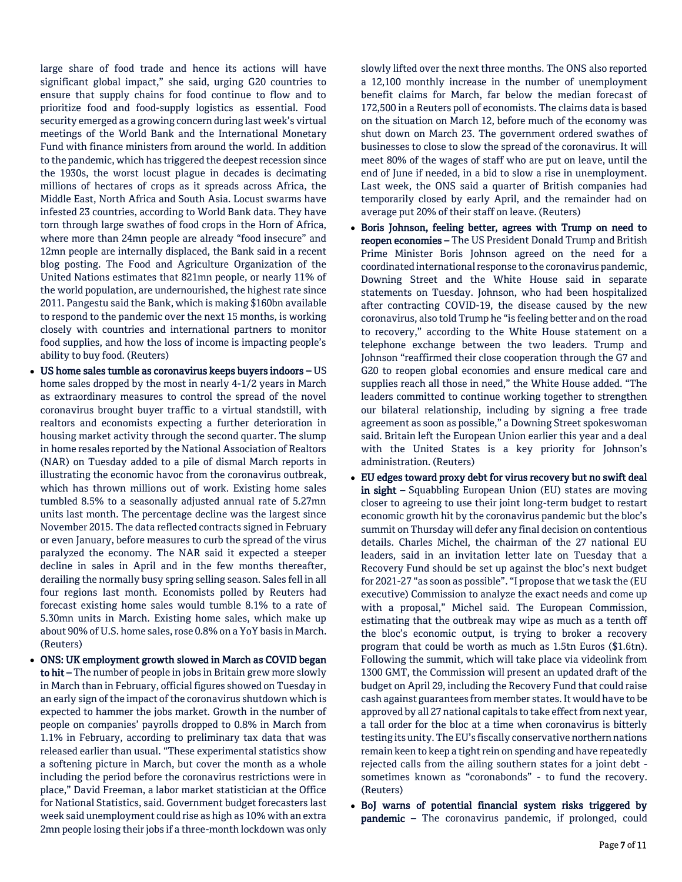large share of food trade and hence its actions will have significant global impact," she said, urging G20 countries to ensure that supply chains for food continue to flow and to prioritize food and food-supply logistics as essential. Food security emerged as a growing concern during last week's virtual meetings of the World Bank and the International Monetary Fund with finance ministers from around the world. In addition to the pandemic, which has triggered the deepest recession since the 1930s, the worst locust plague in decades is decimating millions of hectares of crops as it spreads across Africa, the Middle East, North Africa and South Asia. Locust swarms have infested 23 countries, according to World Bank data. They have torn through large swathes of food crops in the Horn of Africa, where more than 24mn people are already "food insecure" and 12mn people are internally displaced, the Bank said in a recent blog posting. The Food and Agriculture Organization of the United Nations estimates that 821mn people, or nearly 11% of the world population, are undernourished, the highest rate since 2011. Pangestu said the Bank, which is making \$160bn available to respond to the pandemic over the next 15 months, is working closely with countries and international partners to monitor food supplies, and how the loss of income is impacting people's ability to buy food. (Reuters)

- US home sales tumble as coronavirus keeps buyers indoors US home sales dropped by the most in nearly 4-1/2 years in March as extraordinary measures to control the spread of the novel coronavirus brought buyer traffic to a virtual standstill, with realtors and economists expecting a further deterioration in housing market activity through the second quarter. The slump in home resales reported by the National Association of Realtors (NAR) on Tuesday added to a pile of dismal March reports in illustrating the economic havoc from the coronavirus outbreak, which has thrown millions out of work. Existing home sales tumbled 8.5% to a seasonally adjusted annual rate of 5.27mn units last month. The percentage decline was the largest since November 2015. The data reflected contracts signed in February or even January, before measures to curb the spread of the virus paralyzed the economy. The NAR said it expected a steeper decline in sales in April and in the few months thereafter, derailing the normally busy spring selling season. Sales fell in all four regions last month. Economists polled by Reuters had forecast existing home sales would tumble 8.1% to a rate of 5.30mn units in March. Existing home sales, which make up about 90% of U.S. home sales, rose 0.8% on a YoY basis in March. (Reuters)
- ONS: UK employment growth slowed in March as COVID began to hit – The number of people in jobs in Britain grew more slowly in March than in February, official figures showed on Tuesday in an early sign of the impact of the coronavirus shutdown which is expected to hammer the jobs market. Growth in the number of people on companies' payrolls dropped to 0.8% in March from 1.1% in February, according to preliminary tax data that was released earlier than usual. "These experimental statistics show a softening picture in March, but cover the month as a whole including the period before the coronavirus restrictions were in place," David Freeman, a labor market statistician at the Office for National Statistics, said. Government budget forecasters last week said unemployment could rise as high as 10% with an extra 2mn people losing their jobs if a three-month lockdown was only

slowly lifted over the next three months. The ONS also reported a 12,100 monthly increase in the number of unemployment benefit claims for March, far below the median forecast of 172,500 in a Reuters poll of economists. The claims data is based on the situation on March 12, before much of the economy was shut down on March 23. The government ordered swathes of businesses to close to slow the spread of the coronavirus. It will meet 80% of the wages of staff who are put on leave, until the end of June if needed, in a bid to slow a rise in unemployment. Last week, the ONS said a quarter of British companies had temporarily closed by early April, and the remainder had on average put 20% of their staff on leave. (Reuters)

- Boris Johnson, feeling better, agrees with Trump on need to reopen economies – The US President Donald Trump and British Prime Minister Boris Johnson agreed on the need for a coordinated international response to the coronavirus pandemic, Downing Street and the White House said in separate statements on Tuesday. Johnson, who had been hospitalized after contracting COVID-19, the disease caused by the new coronavirus, also told Trump he "is feeling better and on the road to recovery," according to the White House statement on a telephone exchange between the two leaders. Trump and Johnson "reaffirmed their close cooperation through the G7 and G20 to reopen global economies and ensure medical care and supplies reach all those in need," the White House added. "The leaders committed to continue working together to strengthen our bilateral relationship, including by signing a free trade agreement as soon as possible," a Downing Street spokeswoman said. Britain left the European Union earlier this year and a deal with the United States is a key priority for Johnson's administration. (Reuters)
- EU edges toward proxy debt for virus recovery but no swift deal in sight - Squabbling European Union (EU) states are moving closer to agreeing to use their joint long-term budget to restart economic growth hit by the coronavirus pandemic but the bloc's summit on Thursday will defer any final decision on contentious details. Charles Michel, the chairman of the 27 national EU leaders, said in an invitation letter late on Tuesday that a Recovery Fund should be set up against the bloc's next budget for 2021-27 "as soon as possible". "I propose that we task the (EU executive) Commission to analyze the exact needs and come up with a proposal," Michel said. The European Commission, estimating that the outbreak may wipe as much as a tenth off the bloc's economic output, is trying to broker a recovery program that could be worth as much as 1.5tn Euros (\$1.6tn). Following the summit, which will take place via videolink from 1300 GMT, the Commission will present an updated draft of the budget on April 29, including the Recovery Fund that could raise cash against guarantees from member states. It would have to be approved by all 27 national capitals to take effect from next year, a tall order for the bloc at a time when coronavirus is bitterly testing its unity. The EU's fiscally conservative northern nations remain keen to keep a tight rein on spending and have repeatedly rejected calls from the ailing southern states for a joint debt sometimes known as "coronabonds" - to fund the recovery. (Reuters)
- BoJ warns of potential financial system risks triggered by pandemic - The coronavirus pandemic, if prolonged, could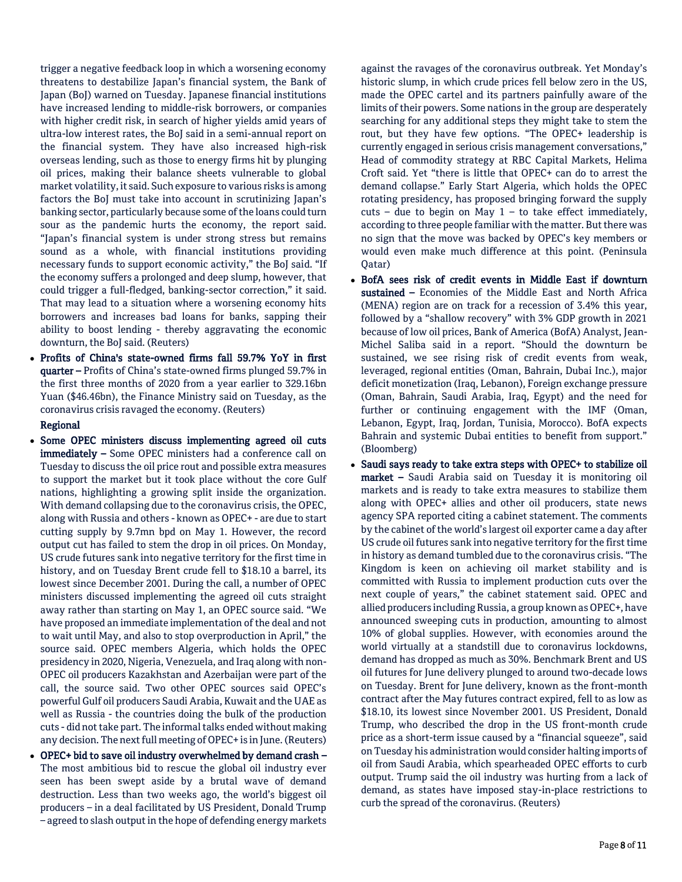trigger a negative feedback loop in which a worsening economy threatens to destabilize Japan's financial system, the Bank of Japan (BoJ) warned on Tuesday. Japanese financial institutions have increased lending to middle-risk borrowers, or companies with higher credit risk, in search of higher yields amid years of ultra-low interest rates, the BoJ said in a semi-annual report on the financial system. They have also increased high-risk overseas lending, such as those to energy firms hit by plunging oil prices, making their balance sheets vulnerable to global market volatility, it said. Such exposure to various risks is among factors the BoJ must take into account in scrutinizing Japan's banking sector, particularly because some of the loans could turn sour as the pandemic hurts the economy, the report said. "Japan's financial system is under strong stress but remains sound as a whole, with financial institutions providing necessary funds to support economic activity," the BoJ said. "If the economy suffers a prolonged and deep slump, however, that could trigger a full-fledged, banking-sector correction," it said. That may lead to a situation where a worsening economy hits borrowers and increases bad loans for banks, sapping their ability to boost lending - thereby aggravating the economic downturn, the BoJ said. (Reuters)

 Profits of China's state-owned firms fall 59.7% YoY in first quarter – Profits of China's state-owned firms plunged 59.7% in the first three months of 2020 from a year earlier to 329.16bn Yuan (\$46.46bn), the Finance Ministry said on Tuesday, as the coronavirus crisis ravaged the economy. (Reuters)

## Regional

- Some OPEC ministers discuss implementing agreed oil cuts immediately – Some OPEC ministers had a conference call on Tuesday to discuss the oil price rout and possible extra measures to support the market but it took place without the core Gulf nations, highlighting a growing split inside the organization. With demand collapsing due to the coronavirus crisis, the OPEC, along with Russia and others - known as OPEC+ - are due to start cutting supply by 9.7mn bpd on May 1. However, the record output cut has failed to stem the drop in oil prices. On Monday, US crude futures sank into negative territory for the first time in history, and on Tuesday Brent crude fell to \$18.10 a barrel, its lowest since December 2001. During the call, a number of OPEC ministers discussed implementing the agreed oil cuts straight away rather than starting on May 1, an OPEC source said. "We have proposed an immediate implementation of the deal and not to wait until May, and also to stop overproduction in April," the source said. OPEC members Algeria, which holds the OPEC presidency in 2020, Nigeria, Venezuela, and Iraq along with non-OPEC oil producers Kazakhstan and Azerbaijan were part of the call, the source said. Two other OPEC sources said OPEC's powerful Gulf oil producers Saudi Arabia, Kuwait and the UAE as well as Russia - the countries doing the bulk of the production cuts - did not take part. The informal talks ended without making any decision. The next full meeting of OPEC+ is in June. (Reuters)
- OPEC+ bid to save oil industry overwhelmed by demand crash The most ambitious bid to rescue the global oil industry ever seen has been swept aside by a brutal wave of demand destruction. Less than two weeks ago, the world's biggest oil producers – in a deal facilitated by US President, Donald Trump – agreed to slash output in the hope of defending energy markets

against the ravages of the coronavirus outbreak. Yet Monday's historic slump, in which crude prices fell below zero in the US, made the OPEC cartel and its partners painfully aware of the limits of their powers. Some nations in the group are desperately searching for any additional steps they might take to stem the rout, but they have few options. "The OPEC+ leadership is currently engaged in serious crisis management conversations," Head of commodity strategy at RBC Capital Markets, Helima Croft said. Yet "there is little that OPEC+ can do to arrest the demand collapse." Early Start Algeria, which holds the OPEC rotating presidency, has proposed bringing forward the supply  $cuts - due to begin on May 1 - to take effect immediately,$ according to three people familiar with the matter. But there was no sign that the move was backed by OPEC's key members or would even make much difference at this point. (Peninsula Qatar)

- BofA sees risk of credit events in Middle East if downturn sustained – Economies of the Middle East and North Africa (MENA) region are on track for a recession of 3.4% this year, followed by a "shallow recovery" with 3% GDP growth in 2021 because of low oil prices, Bank of America (BofA) Analyst, Jean-Michel Saliba said in a report. "Should the downturn be sustained, we see rising risk of credit events from weak, leveraged, regional entities (Oman, Bahrain, Dubai Inc.), major deficit monetization (Iraq, Lebanon), Foreign exchange pressure (Oman, Bahrain, Saudi Arabia, Iraq, Egypt) and the need for further or continuing engagement with the IMF (Oman, Lebanon, Egypt, Iraq, Jordan, Tunisia, Morocco). BofA expects Bahrain and systemic Dubai entities to benefit from support." (Bloomberg)
- Saudi says ready to take extra steps with OPEC+ to stabilize oil market – Saudi Arabia said on Tuesday it is monitoring oil markets and is ready to take extra measures to stabilize them along with OPEC+ allies and other oil producers, state news agency SPA reported citing a cabinet statement. The comments by the cabinet of the world's largest oil exporter came a day after US crude oil futures sank into negative territory for the first time in history as demand tumbled due to the coronavirus crisis. "The Kingdom is keen on achieving oil market stability and is committed with Russia to implement production cuts over the next couple of years," the cabinet statement said. OPEC and allied producers including Russia, a group known as OPEC+, have announced sweeping cuts in production, amounting to almost 10% of global supplies. However, with economies around the world virtually at a standstill due to coronavirus lockdowns, demand has dropped as much as 30%. Benchmark Brent and US oil futures for June delivery plunged to around two-decade lows on Tuesday. Brent for June delivery, known as the front-month contract after the May futures contract expired, fell to as low as \$18.10, its lowest since November 2001. US President, Donald Trump, who described the drop in the US front-month crude price as a short-term issue caused by a "financial squeeze", said on Tuesday his administration would consider halting imports of oil from Saudi Arabia, which spearheaded OPEC efforts to curb output. Trump said the oil industry was hurting from a lack of demand, as states have imposed stay-in-place restrictions to curb the spread of the coronavirus. (Reuters)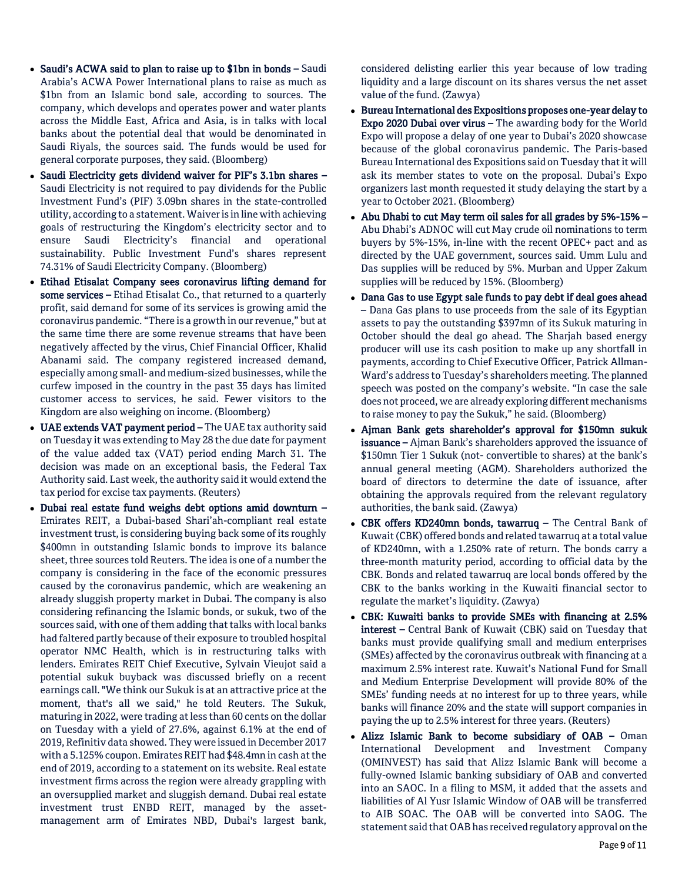- Saudi's ACWA said to plan to raise up to \$1bn in bonds Saudi Arabia's ACWA Power International plans to raise as much as \$1bn from an Islamic bond sale, according to sources. The company, which develops and operates power and water plants across the Middle East, Africa and Asia, is in talks with local banks about the potential deal that would be denominated in Saudi Riyals, the sources said. The funds would be used for general corporate purposes, they said. (Bloomberg)
- Saudi Electricity gets dividend waiver for PIF's 3.1bn shares -Saudi Electricity is not required to pay dividends for the Public Investment Fund's (PIF) 3.09bn shares in the state-controlled utility, according to a statement. Waiver is in line with achieving goals of restructuring the Kingdom's electricity sector and to ensure Saudi Electricity's financial and operational sustainability. Public Investment Fund's shares represent 74.31% of Saudi Electricity Company. (Bloomberg)
- Etihad Etisalat Company sees coronavirus lifting demand for some services - Etihad Etisalat Co., that returned to a quarterly profit, said demand for some of its services is growing amid the coronavirus pandemic. "There is a growth in our revenue," but at the same time there are some revenue streams that have been negatively affected by the virus, Chief Financial Officer, Khalid Abanami said. The company registered increased demand, especially among small- and medium-sized businesses, while the curfew imposed in the country in the past 35 days has limited customer access to services, he said. Fewer visitors to the Kingdom are also weighing on income. (Bloomberg)
- UAE extends VAT payment period The UAE tax authority said on Tuesday it was extending to May 28 the due date for payment of the value added tax (VAT) period ending March 31. The decision was made on an exceptional basis, the Federal Tax Authority said. Last week, the authority said it would extend the tax period for excise tax payments. (Reuters)
- Dubai real estate fund weighs debt options amid downturn Emirates REIT, a Dubai-based Shari'ah-compliant real estate investment trust, is considering buying back some of its roughly \$400mn in outstanding Islamic bonds to improve its balance sheet, three sources told Reuters. The idea is one of a number the company is considering in the face of the economic pressures caused by the coronavirus pandemic, which are weakening an already sluggish property market in Dubai. The company is also considering refinancing the Islamic bonds, or sukuk, two of the sources said, with one of them adding that talks with local banks had faltered partly because of their exposure to troubled hospital operator NMC Health, which is in restructuring talks with lenders. Emirates REIT Chief Executive, Sylvain Vieujot said a potential sukuk buyback was discussed briefly on a recent earnings call. "We think our Sukuk is at an attractive price at the moment, that's all we said," he told Reuters. The Sukuk, maturing in 2022, were trading at less than 60 cents on the dollar on Tuesday with a yield of 27.6%, against 6.1% at the end of 2019, Refinitiv data showed. They were issued in December 2017 with a 5.125% coupon. Emirates REIT had \$48.4mn in cash at the end of 2019, according to a statement on its website. Real estate investment firms across the region were already grappling with an oversupplied market and sluggish demand. Dubai real estate investment trust ENBD REIT, managed by the assetmanagement arm of Emirates NBD, Dubai's largest bank,

considered delisting earlier this year because of low trading liquidity and a large discount on its shares versus the net asset value of the fund. (Zawya)

- Bureau International des Expositions proposes one-year delay to Expo 2020 Dubai over virus – The awarding body for the World Expo will propose a delay of one year to Dubai's 2020 showcase because of the global coronavirus pandemic. The Paris-based Bureau International des Expositions said on Tuesday that it will ask its member states to vote on the proposal. Dubai's Expo organizers last month requested it study delaying the start by a year to October 2021. (Bloomberg)
- Abu Dhabi to cut May term oil sales for all grades by 5%-15% Abu Dhabi's ADNOC will cut May crude oil nominations to term buyers by 5%-15%, in-line with the recent OPEC+ pact and as directed by the UAE government, sources said. Umm Lulu and Das supplies will be reduced by 5%. Murban and Upper Zakum supplies will be reduced by 15%. (Bloomberg)
- Dana Gas to use Egypt sale funds to pay debt if deal goes ahead – Dana Gas plans to use proceeds from the sale of its Egyptian assets to pay the outstanding \$397mn of its Sukuk maturing in October should the deal go ahead. The Sharjah based energy producer will use its cash position to make up any shortfall in payments, according to Chief Executive Officer, Patrick Allman-Ward's address to Tuesday's shareholders meeting. The planned speech was posted on the company's website. "In case the sale does not proceed, we are already exploring different mechanisms to raise money to pay the Sukuk," he said. (Bloomberg)
- Ajman Bank gets shareholder's approval for \$150mn sukuk issuance – Ajman Bank's shareholders approved the issuance of \$150mn Tier 1 Sukuk (not- convertible to shares) at the bank's annual general meeting (AGM). Shareholders authorized the board of directors to determine the date of issuance, after obtaining the approvals required from the relevant regulatory authorities, the bank said. (Zawya)
- CBK offers KD240mn bonds, tawarruq The Central Bank of Kuwait (CBK) offered bonds and related tawarruq at a total value of KD240mn, with a 1.250% rate of return. The bonds carry a three-month maturity period, according to official data by the CBK. Bonds and related tawarruq are local bonds offered by the CBK to the banks working in the Kuwaiti financial sector to regulate the market's liquidity. (Zawya)
- CBK: Kuwaiti banks to provide SMEs with financing at 2.5% interest – Central Bank of Kuwait (CBK) said on Tuesday that banks must provide qualifying small and medium enterprises (SMEs) affected by the coronavirus outbreak with financing at a maximum 2.5% interest rate. Kuwait's National Fund for Small and Medium Enterprise Development will provide 80% of the SMEs' funding needs at no interest for up to three years, while banks will finance 20% and the state will support companies in paying the up to 2.5% interest for three years. (Reuters)
- Alizz Islamic Bank to become subsidiary of OAB Oman International Development and Investment Company (OMINVEST) has said that Alizz Islamic Bank will become a fully-owned Islamic banking subsidiary of OAB and converted into an SAOC. In a filing to MSM, it added that the assets and liabilities of Al Yusr Islamic Window of OAB will be transferred to AIB SOAC. The OAB will be converted into SAOG. The statement said that OAB has received regulatory approval on the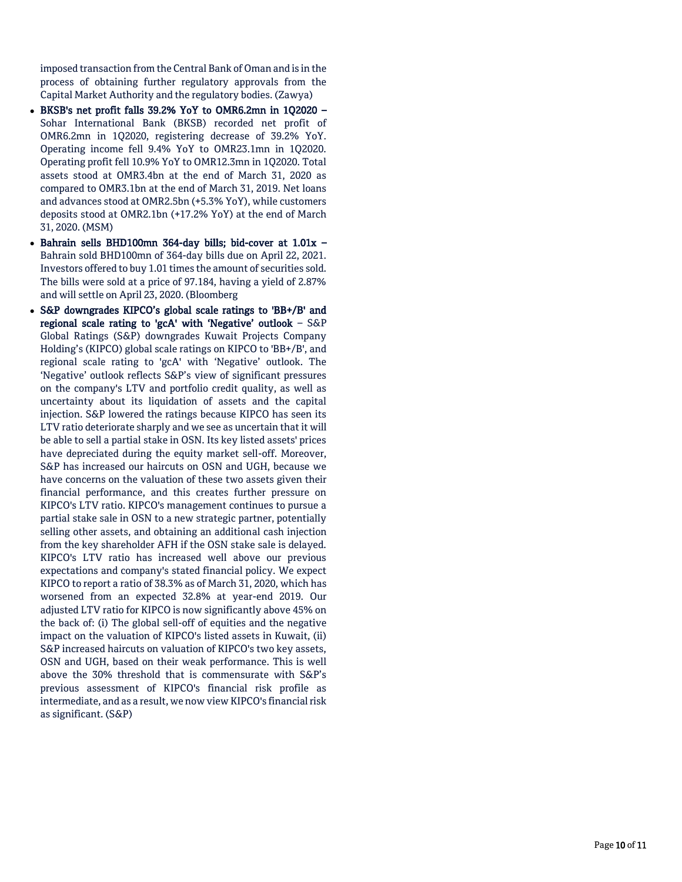imposed transaction from the Central Bank of Oman and is in the process of obtaining further regulatory approvals from the Capital Market Authority and the regulatory bodies. (Zawya)

- BKSB's net profit falls 39.2% YoY to OMR6.2mn in 1Q2020 Sohar International Bank (BKSB) recorded net profit of OMR6.2mn in 1Q2020, registering decrease of 39.2% YoY. Operating income fell 9.4% YoY to OMR23.1mn in 1Q2020. Operating profit fell 10.9% YoY to OMR12.3mn in 1Q2020. Total assets stood at OMR3.4bn at the end of March 31, 2020 as compared to OMR3.1bn at the end of March 31, 2019. Net loans and advances stood at OMR2.5bn (+5.3% YoY), while customers deposits stood at OMR2.1bn (+17.2% YoY) at the end of March 31, 2020. (MSM)
- Bahrain sells BHD100mn 364-day bills; bid-cover at 1.01x -Bahrain sold BHD100mn of 364 -day bills due on April 22, 2021. Investors offered to buy 1.01 times the amount of securities sold. The bills were sold at a price of 97.184, having a yield of 2.87% and will settle on April 23, 2020. (Bloomberg
- S&P downgrades KIPCO's global scale ratings to 'BB+/B' and regional scale rating to 'gcA' with 'Negative' outlook – S&P Global Ratings (S&P) downgrades Kuwait Projects Company Holding's (KIPCO) global scale ratings on KIPCO to 'BB+/B', and regional scale rating to 'gcA' with 'Negative' outlook. The 'Negative' outlook reflects S&P's view of significant pressures on the company's LTV and portfolio credit quality, as well as uncertainty about its liquidation of assets and the capital injection. S&P lowered the ratings because KIPCO has seen its LTV ratio deteriorate sharply and we see as uncertain that it will be able to sell a partial stake in OSN. Its key listed assets' prices have depreciated during the equity market sell -off. Moreover, S&P has increased our haircuts on OSN and UGH, because we have concerns on the valuation of these two assets given their financial performance, and this creates further pressure on KIPCO's LTV ratio. KIPCO's management continues to pursue a partial stake sale in OSN to a new strategic partner, potentially selling other assets, and obtaining an additional cash injection from the key shareholder AFH if the OSN stake sale is delayed. KIPCO's LTV ratio has increased well above our previous expectations and company's stated financial policy. We expect KIPCO to report a ratio of 38.3% as of March 31, 2020, which has worsened from an expected 32.8% at year -end 2019. Our adjusted LTV ratio for KIPCO is now significantly above 45% on the back of: (i) The global sell -off of equities and the negative impact on the valuation of KIPCO's listed assets in Kuwait, (ii) S&P increased haircuts on valuation of KIPCO's two key assets, OSN and UGH, based on their weak performance. This is well above the 30% threshold that is commensurate with S&P's previous assessment of KIPCO's financial risk profile as intermediate, and as a result, we now view KIPCO's financial risk as significant. (S&P)